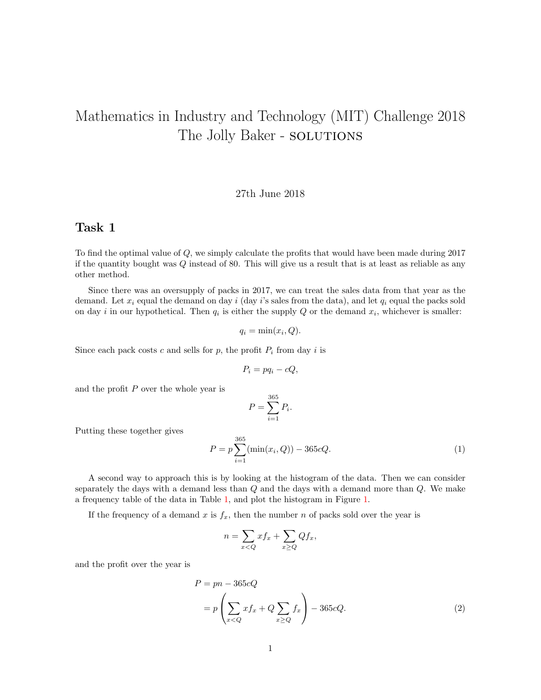# Mathematics in Industry and Technology (MIT) Challenge 2018 The Jolly Baker - SOLUTIONS

#### 27th June 2018

#### Task 1

To find the optimal value of Q, we simply calculate the profits that would have been made during 2017 if the quantity bought was Q instead of 80. This will give us a result that is at least as reliable as any other method.

Since there was an oversupply of packs in 2017, we can treat the sales data from that year as the demand. Let  $x_i$  equal the demand on day i (day i's sales from the data), and let  $q_i$  equal the packs sold on day *i* in our hypothetical. Then  $q_i$  is either the supply  $Q$  or the demand  $x_i$ , whichever is smaller:

$$
q_i = \min(x_i, Q).
$$

Since each pack costs c and sells for p, the profit  $P_i$  from day i is

$$
P_i = pq_i - cQ,
$$

and the profit  $P$  over the whole year is

$$
P = \sum_{i=1}^{365} P_i.
$$

Putting these together gives

<span id="page-0-0"></span>
$$
P = p \sum_{i=1}^{365} (\min(x_i, Q)) - 365cQ.
$$
 (1)

A second way to approach this is by looking at the histogram of the data. Then we can consider separately the days with a demand less than  $Q$  and the days with a demand more than  $Q$ . We make a frequency table of the data in Table [1,](#page-1-0) and plot the histogram in Figure [1.](#page-1-1)

If the frequency of a demand x is  $f_x$ , then the number n of packs sold over the year is

$$
n = \sum_{x < Q} x f_x + \sum_{x \ge Q} Q f_x,
$$

and the profit over the year is

$$
P = pn - 365cQ
$$
  
=  $p \left( \sum_{x < Q} x f_x + Q \sum_{x \ge Q} f_x \right) - 365cQ.$  (2)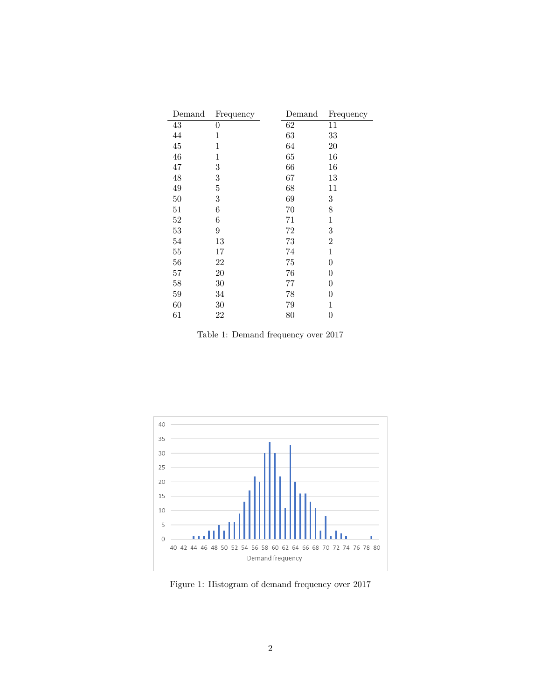<span id="page-1-0"></span>

| Demand | Frequency      | Demand | Frequency        |
|--------|----------------|--------|------------------|
| 43     | 0              | 62     | 11               |
| 44     | $\mathbf{1}$   | 63     | 33               |
| 45     | 1              | 64     | 20               |
| 46     | 1              | 65     | 16               |
| 47     | 3              | 66     | 16               |
| 48     | 3              | 67     | 13               |
| 49     | $\overline{5}$ | 68     | 11               |
| 50     | 3              | 69     | 3                |
| 51     | 6              | 70     | 8                |
| 52     | 6              | 71     | $\mathbf 1$      |
| 53     | 9              | 72     | 3                |
| 54     | 13             | 73     | $\overline{2}$   |
| 55     | 17             | 74     | 1                |
| 56     | 22             | 75     | 0                |
| 57     | 20             | 76     | 0                |
| 58     | 30             | 77     | $\theta$         |
| 59     | 34             | 78     | $\theta$         |
| 60     | 30             | 79     | 1                |
| 61     | 22             | 80     | $\boldsymbol{0}$ |

Table 1: Demand frequency over 2017

<span id="page-1-1"></span>

Figure 1: Histogram of demand frequency over 2017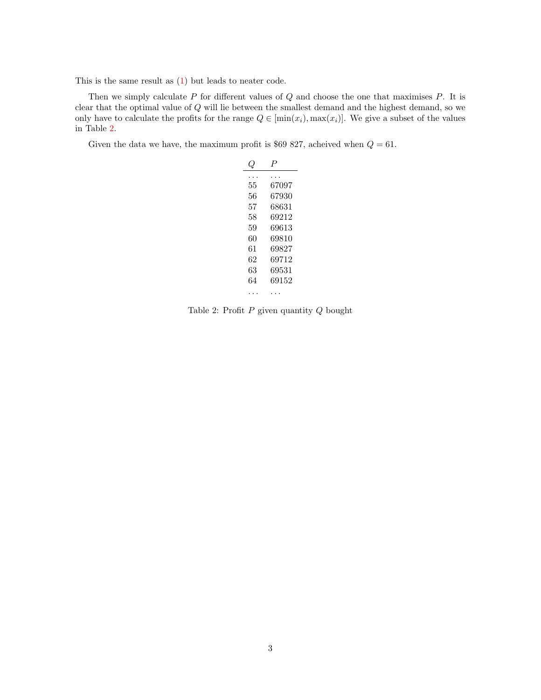This is the same result as [\(1\)](#page-0-0) but leads to neater code.

Then we simply calculate  $P$  for different values of  $Q$  and choose the one that maximises  $P$ . It is clear that the optimal value of Q will lie between the smallest demand and the highest demand, so we only have to calculate the profits for the range  $Q \in [\min(x_i), \max(x_i)]$ . We give a subset of the values in Table [2.](#page-2-0)

<span id="page-2-0"></span>Given the data we have, the maximum profit is \$69 827, acheived when  $Q = 61$ .

| 55 | 67097 |
|----|-------|
| 56 | 67930 |
| 57 | 68631 |
| 58 | 69212 |
| 59 | 69613 |
| 60 | 69810 |
| 61 | 69827 |
| 62 | 69712 |
| 63 | 69531 |
| 64 | 69152 |
|    |       |

Table 2: Profit  $P$  given quantity  $Q$  bought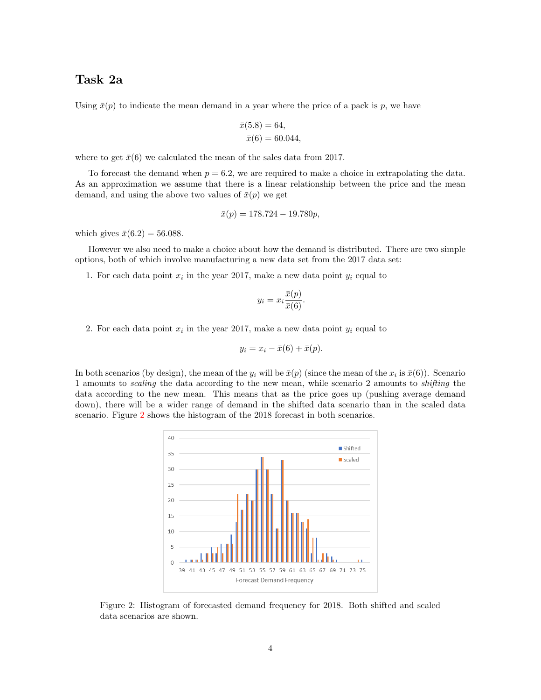### Task 2a

Using  $\bar{x}(p)$  to indicate the mean demand in a year where the price of a pack is p, we have

$$
\bar{x}(5.8) = 64, \n\bar{x}(6) = 60.044,
$$

where to get  $\bar{x}(6)$  we calculated the mean of the sales data from 2017.

To forecast the demand when  $p = 6.2$ , we are required to make a choice in extrapolating the data. As an approximation we assume that there is a linear relationship between the price and the mean demand, and using the above two values of  $\bar{x}(p)$  we get

$$
\bar{x}(p) = 178.724 - 19.780p,
$$

which gives  $\bar{x}(6.2) = 56.088$ .

However we also need to make a choice about how the demand is distributed. There are two simple options, both of which involve manufacturing a new data set from the 2017 data set:

1. For each data point  $x_i$  in the year 2017, make a new data point  $y_i$  equal to

$$
y_i = x_i \frac{\bar{x}(p)}{\bar{x}(6)}.
$$

2. For each data point  $x_i$  in the year 2017, make a new data point  $y_i$  equal to

$$
y_i = x_i - \bar{x}(6) + \bar{x}(p).
$$

<span id="page-3-0"></span>In both scenarios (by design), the mean of the  $y_i$  will be  $\bar{x}(p)$  (since the mean of the  $x_i$  is  $\bar{x}(6)$ ). Scenario 1 amounts to scaling the data according to the new mean, while scenario 2 amounts to shifting the data according to the new mean. This means that as the price goes up (pushing average demand down), there will be a wider range of demand in the shifted data scenario than in the scaled data scenario. Figure [2](#page-3-0) shows the histogram of the 2018 forecast in both scenarios.



Figure 2: Histogram of forecasted demand frequency for 2018. Both shifted and scaled data scenarios are shown.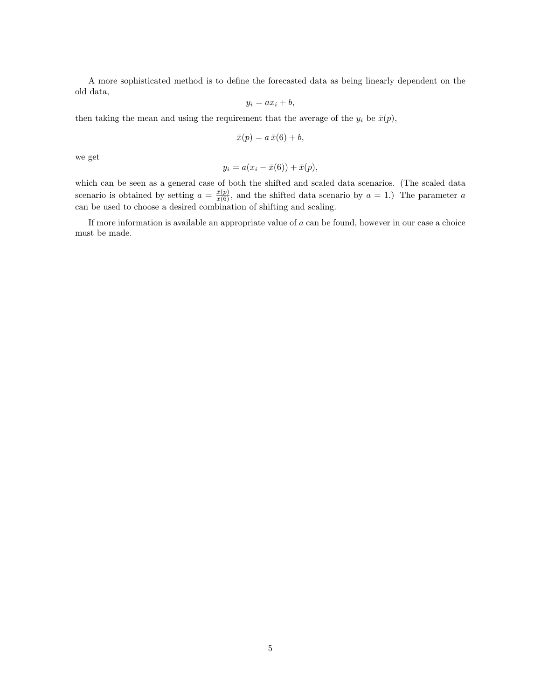A more sophisticated method is to define the forecasted data as being linearly dependent on the old data,

$$
y_i = ax_i + b,
$$

then taking the mean and using the requirement that the average of the  $y_i$  be  $\bar{x}(p)$ ,

$$
\bar{x}(p) = a \,\bar{x}(6) + b,
$$

we get

$$
y_i = a(x_i - \bar{x}(6)) + \bar{x}(p),
$$

which can be seen as a general case of both the shifted and scaled data scenarios. (The scaled data scenario is obtained by setting  $a = \frac{\bar{x}(p)}{\bar{x}(6)}$ , and the shifted data scenario by  $a = 1$ .) The parameter a can be used to choose a desired combination of shifting and scaling.

If more information is available an appropriate value of  $a$  can be found, however in our case a choice must be made.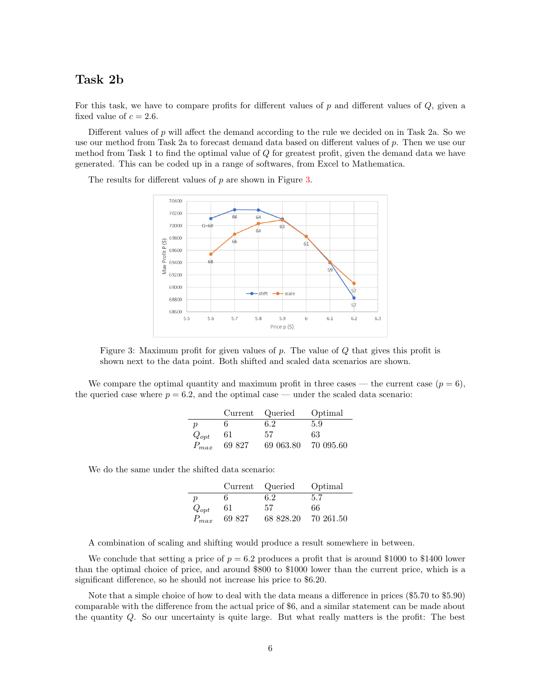### Task 2b

For this task, we have to compare profits for different values of  $p$  and different values of  $Q$ , given a fixed value of  $c = 2.6$ .

Different values of p will affect the demand according to the rule we decided on in Task 2a. So we use our method from Task 2a to forecast demand data based on different values of p. Then we use our method from Task 1 to find the optimal value of Q for greatest profit, given the demand data we have generated. This can be coded up in a range of softwares, from Excel to Mathematica.

> 70400 70200 66  $64$ 70000  $O = 68$  $64$ 69800 Max Profit P(\$) 66 61 69600 69400 69200 69000 shift  $\leftarrow$  scale 68800  $57$ 68600  $5.5$  $5.6$ 5.7 5.8 5.9  $6.2$  $6.3$ 6 6.1 Price p (\$)

<span id="page-5-0"></span>The results for different values of  $p$  are shown in Figure [3.](#page-5-0)

Figure 3: Maximum profit for given values of  $p$ . The value of  $Q$  that gives this profit is shown next to the data point. Both shifted and scaled data scenarios are shown.

We compare the optimal quantity and maximum profit in three cases — the current case  $(p = 6)$ , the queried case where  $p = 6.2$ , and the optimal case — under the scaled data scenario:

|                  |        | Current Queried | Optimal   |
|------------------|--------|-----------------|-----------|
| $\boldsymbol{p}$ |        | 6.2             | 5.9       |
| $Q_{opt}$        | 61     | 57              | 63        |
| $P_{max}$        | 69 827 | 69 063.80       | 70 095.60 |

We do the same under the shifted data scenario:

|                  | Current | Queried   | Optimal   |
|------------------|---------|-----------|-----------|
| $\boldsymbol{p}$ |         | 6.2       | 5.7       |
| $Q_{opt}$        | 61      | 57        | 66        |
| $P_{max}$        | 69 827  | 68 828.20 | 70 261.50 |

A combination of scaling and shifting would produce a result somewhere in between.

We conclude that setting a price of  $p = 6.2$  produces a profit that is around \$1000 to \$1400 lower than the optimal choice of price, and around \$800 to \$1000 lower than the current price, which is a significant difference, so he should not increase his price to \$6.20.

Note that a simple choice of how to deal with the data means a difference in prices (\$5.70 to \$5.90) comparable with the difference from the actual price of \$6, and a similar statement can be made about the quantity Q. So our uncertainty is quite large. But what really matters is the profit: The best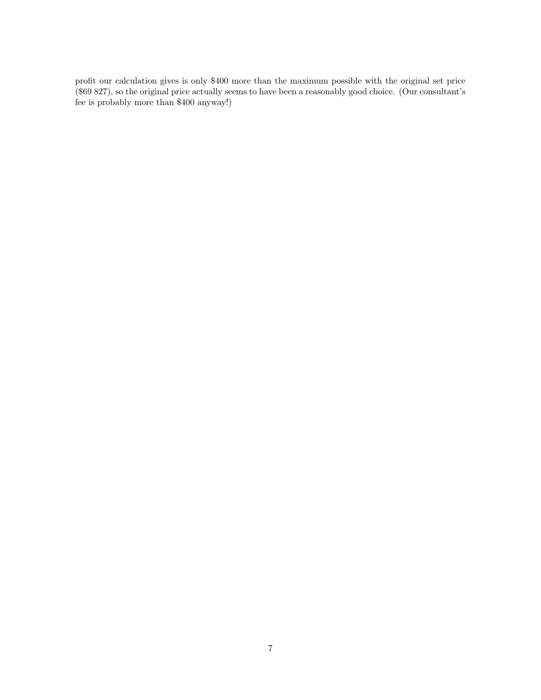profit our calculation gives is only \$400 more than the maximum possible with the original set price (\$69 827), so the original price actually seems to have been a reasonably good choice. (Our consultant's fee is probably more than \$400 anyway!)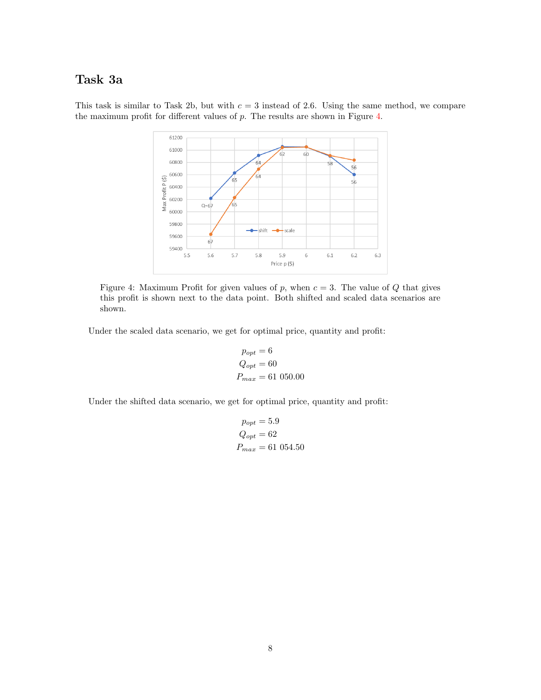## Task 3a

<span id="page-7-0"></span>This task is similar to Task 2b, but with  $c = 3$  instead of 2.6. Using the same method, we compare the maximum profit for different values of p. The results are shown in Figure [4.](#page-7-0)



Figure 4: Maximum Profit for given values of p, when  $c = 3$ . The value of Q that gives this profit is shown next to the data point. Both shifted and scaled data scenarios are shown.

Under the scaled data scenario, we get for optimal price, quantity and profit:

$$
p_{opt} = 6
$$
  

$$
Q_{opt} = 60
$$
  

$$
P_{max} = 61 050.00
$$

Under the shifted data scenario, we get for optimal price, quantity and profit:

$$
p_{opt} = 5.9
$$
  

$$
Q_{opt} = 62
$$
  

$$
P_{max} = 61 054.50
$$